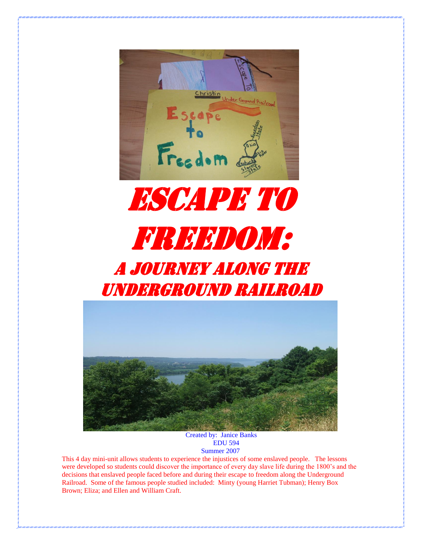



## A JOURNEY ALONG THE Underground railroad



Created by: Janice Banks EDU 594 Summer 2007

This 4 day mini-unit allows students to experience the injustices of some enslaved people. The lessons were developed so students could discover the importance of every day slave life during the 1800's and the decisions that enslaved people faced before and during their escape to freedom along the Underground Railroad. Some of the famous people studied included: Minty (young Harriet Tubman); Henry Box Brown; Eliza; and Ellen and William Craft.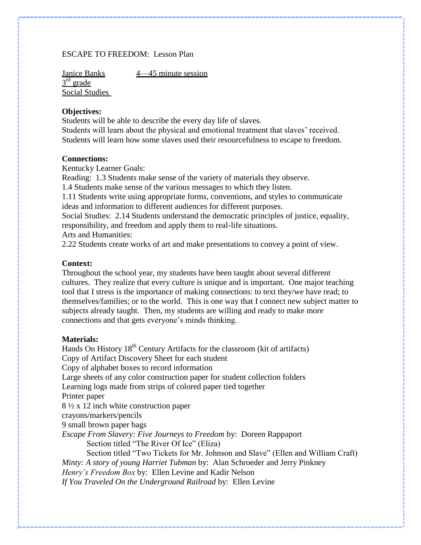## ESCAPE TO FREEDOM: Lesson Plan

Janice Banks 4—45 minute session 3<sup>rd</sup> grade Social Studies

#### **Objectives:**

Students will be able to describe the every day life of slaves. Students will learn about the physical and emotional treatment that slaves' received. Students will learn how some slaves used their resourcefulness to escape to freedom.

#### **Connections:**

Kentucky Learner Goals:

Reading: 1.3 Students make sense of the variety of materials they observe.

1.4 Students make sense of the various messages to which they listen.

1.11 Students write using appropriate forms, conventions, and styles to communicate ideas and information to different audiences for different purposes.

Social Studies: 2.14 Students understand the democratic principles of justice, equality, responsibility, and freedom and apply them to real-life situations.

Arts and Humanities:

2.22 Students create works of art and make presentations to convey a point of view.

#### **Context:**

Throughout the school year, my students have been taught about several different cultures. They realize that every culture is unique and is important. One major teaching tool that I stress is the importance of making connections: to text they/we have read; to themselves/families; or to the world. This is one way that I connect new subject matter to subjects already taught. Then, my students are willing and ready to make more connections and that gets everyone's minds thinking.

#### **Materials:**

Hands On History  $18<sup>th</sup>$  Century Artifacts for the classroom (kit of artifacts) Copy of Artifact Discovery Sheet for each student Copy of alphabet boxes to record information Large sheets of any color construction paper for student collection folders Learning logs made from strips of colored paper tied together Printer paper 8 ½ x 12 inch white construction paper crayons/markers/pencils 9 small brown paper bags *Escape From Slavery: Five Journeys to Freedom* by: Doreen Rappaport Section titled "The River Of Ice" (Eliza) Section titled "Two Tickets for Mr. Johnson and Slave" (Ellen and William Craft) *Minty: A story of young Harriet Tubman* by: Alan Schroeder and Jerry Pinkney *Henry's Freedom Box* by: Ellen Levine and Kadir Nelson *If You Traveled On the Underground Railroad* by: Ellen Levine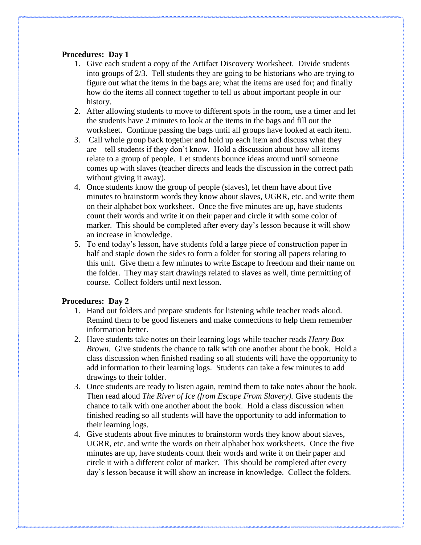#### **Procedures: Day 1**

- 1. Give each student a copy of the Artifact Discovery Worksheet. Divide students into groups of 2/3. Tell students they are going to be historians who are trying to figure out what the items in the bags are; what the items are used for; and finally how do the items all connect together to tell us about important people in our history.
- 2. After allowing students to move to different spots in the room, use a timer and let the students have 2 minutes to look at the items in the bags and fill out the worksheet. Continue passing the bags until all groups have looked at each item.
- 3. Call whole group back together and hold up each item and discuss what they are—tell students if they don't know. Hold a discussion about how all items relate to a group of people. Let students bounce ideas around until someone comes up with slaves (teacher directs and leads the discussion in the correct path without giving it away).
- 4. Once students know the group of people (slaves), let them have about five minutes to brainstorm words they know about slaves, UGRR, etc. and write them on their alphabet box worksheet. Once the five minutes are up, have students count their words and write it on their paper and circle it with some color of marker. This should be completed after every day's lesson because it will show an increase in knowledge.
- 5. To end today's lesson, have students fold a large piece of construction paper in half and staple down the sides to form a folder for storing all papers relating to this unit. Give them a few minutes to write Escape to freedom and their name on the folder. They may start drawings related to slaves as well, time permitting of course. Collect folders until next lesson.

## **Procedures: Day 2**

- 1. Hand out folders and prepare students for listening while teacher reads aloud. Remind them to be good listeners and make connections to help them remember information better.
- 2. Have students take notes on their learning logs while teacher reads *Henry Box Brown.* Give students the chance to talk with one another about the book. Hold a class discussion when finished reading so all students will have the opportunity to add information to their learning logs. Students can take a few minutes to add drawings to their folder.
- 3. Once students are ready to listen again, remind them to take notes about the book. Then read aloud *The River of Ice (from Escape From Slavery).* Give students the chance to talk with one another about the book. Hold a class discussion when finished reading so all students will have the opportunity to add information to their learning logs.
- 4. Give students about five minutes to brainstorm words they know about slaves, UGRR, etc. and write the words on their alphabet box worksheets. Once the five minutes are up, have students count their words and write it on their paper and circle it with a different color of marker. This should be completed after every day's lesson because it will show an increase in knowledge. Collect the folders.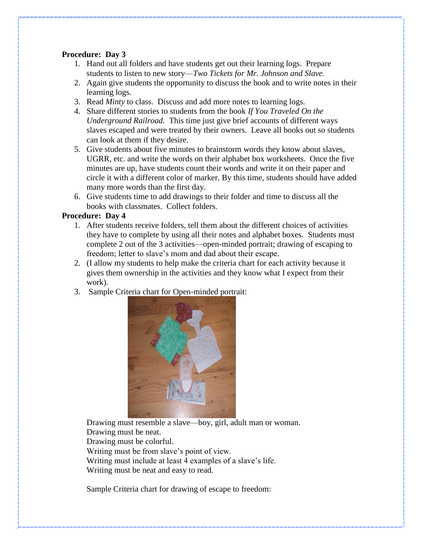## **Procedure: Day 3**

- 1. Hand out all folders and have students get out their learning logs. Prepare students to listen to new story—*Two Tickets for Mr. Johnson and Slave.*
- 2. Again give students the opportunity to discuss the book and to write notes in their learning logs.
- 3. Read *Minty* to class. Discuss and add more notes to learning logs.
- 4. Share different stories to students from the book *If You Traveled On the Underground Railroad.* This time just give brief accounts of different ways slaves escaped and were treated by their owners. Leave all books out so students can look at them if they desire.
- 5. Give students about five minutes to brainstorm words they know about slaves, UGRR, etc. and write the words on their alphabet box worksheets. Once the five minutes are up, have students count their words and write it on their paper and circle it with a different color of marker. By this time, students should have added many more words than the first day.
- 6. Give students time to add drawings to their folder and time to discuss all the books with classmates. Collect folders.

## **Procedure: Day 4**

- 1. After students receive folders, tell them about the different choices of activities they have to complete by using all their notes and alphabet boxes. Students must complete 2 out of the 3 activities—open-minded portrait; drawing of escaping to freedom; letter to slave's mom and dad about their escape.
- 2. (I allow my students to help make the criteria chart for each activity because it gives them ownership in the activities and they know what I expect from their work).
- 3. Sample Criteria chart for Open-minded portrait:



Drawing must resemble a slave—boy, girl, adult man or woman. Drawing must be neat. Drawing must be colorful. Writing must be from slave's point of view. Writing must include at least 4 examples of a slave's life. Writing must be neat and easy to read.

Sample Criteria chart for drawing of escape to freedom: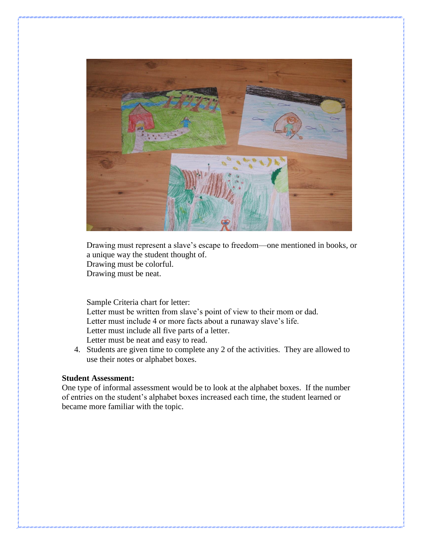

Drawing must represent a slave's escape to freedom—one mentioned in books, or a unique way the student thought of. Drawing must be colorful. Drawing must be neat.

Sample Criteria chart for letter: Letter must be written from slave's point of view to their mom or dad. Letter must include 4 or more facts about a runaway slave's life. Letter must include all five parts of a letter. Letter must be neat and easy to read.

4. Students are given time to complete any 2 of the activities. They are allowed to use their notes or alphabet boxes.

#### **Student Assessment:**

One type of informal assessment would be to look at the alphabet boxes. If the number of entries on the student's alphabet boxes increased each time, the student learned or became more familiar with the topic.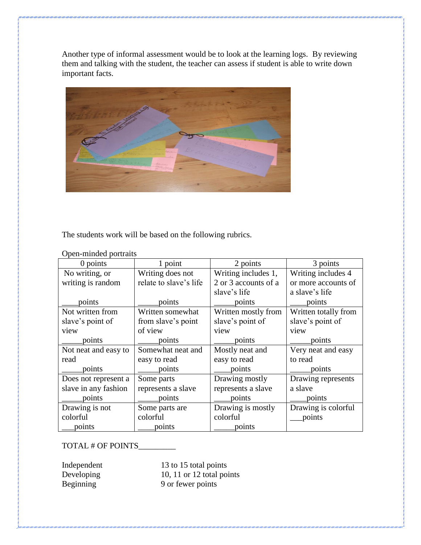Another type of informal assessment would be to look at the learning logs. By reviewing them and talking with the student, the teacher can assess if student is able to write down important facts.



The students work will be based on the following rubrics.

| $0$ points           | 1 point                | 2 points             | 3 points             |
|----------------------|------------------------|----------------------|----------------------|
| No writing, or       | Writing does not       | Writing includes 1,  | Writing includes 4   |
| writing is random    | relate to slave's life | 2 or 3 accounts of a | or more accounts of  |
|                      |                        | slave's life         | a slave's life       |
| points               | points                 | points               | points               |
| Not written from     | Written somewhat       | Written mostly from  | Written totally from |
| slave's point of     | from slave's point     | slave's point of     | slave's point of     |
| view                 | of view                | view                 | view                 |
| points               | points                 | points               | points               |
| Not neat and easy to | Somewhat neat and      | Mostly neat and      | Very neat and easy   |
| read                 | easy to read           | easy to read         | to read              |
| points               | points                 | points               | points               |
| Does not represent a | Some parts             | Drawing mostly       | Drawing represents   |
| slave in any fashion | represents a slave     | represents a slave   | a slave              |
| points               | points                 | points               | points               |
| Drawing is not       | Some parts are         | Drawing is mostly    | Drawing is colorful  |
| colorful             | colorful               | colorful             | points               |
| points               | points                 | points               |                      |

Open-minded portraits

#### TOTAL # OF POINTS

Independent 13 to 15 total points<br>Developing 10, 11 or 12 total points 10, 11 or 12 total points Beginning 9 or fewer points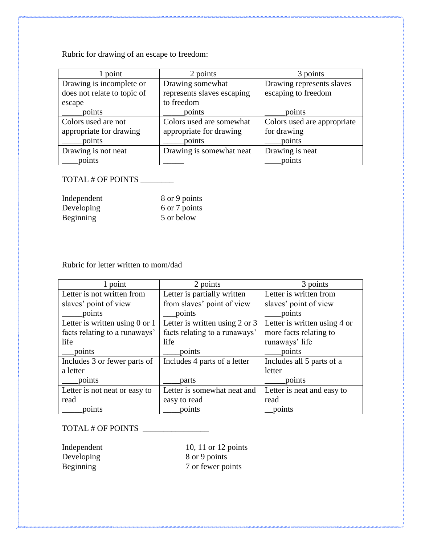Rubric for drawing of an escape to freedom:

| point                       | 2 points                   | 3 points                    |
|-----------------------------|----------------------------|-----------------------------|
| Drawing is incomplete or    | Drawing somewhat           | Drawing represents slaves   |
| does not relate to topic of | represents slaves escaping | escaping to freedom         |
| escape                      | to freedom                 |                             |
| points                      | points                     | points                      |
| Colors used are not         | Colors used are somewhat   | Colors used are appropriate |
| appropriate for drawing     | appropriate for drawing    | for drawing                 |
| points                      | points                     | points                      |
| Drawing is not neat         | Drawing is somewhat neat   | Drawing is neat             |
| points                      |                            | points                      |

## TOTAL # OF POINTS \_\_\_\_\_\_\_

| Independent      | 8 or 9 points |
|------------------|---------------|
| Developing       | 6 or 7 points |
| <b>Beginning</b> | 5 or below    |

## Rubric for letter written to mom/dad

| 1 point                            | 2 points                       | 3 points                     |  |
|------------------------------------|--------------------------------|------------------------------|--|
| Letter is not written from         | Letter is partially written    | Letter is written from       |  |
| slaves' point of view              | from slaves' point of view     | slaves' point of view        |  |
| points                             | points                         | points                       |  |
| Letter is written using $0$ or $1$ | Letter is written using 2 or 3 | Letter is written using 4 or |  |
| facts relating to a runaways'      | facts relating to a runaways'  | more facts relating to       |  |
| life                               | life                           | runaways' life               |  |
| points                             | points                         | points                       |  |
| Includes 3 or fewer parts of       | Includes 4 parts of a letter   | Includes all 5 parts of a    |  |
| a letter                           |                                | letter                       |  |
| points                             | parts                          | points                       |  |
| Letter is not neat or easy to      | Letter is somewhat neat and    | Letter is neat and easy to   |  |
| read                               | easy to read                   | read                         |  |
| points                             | points                         | points                       |  |

## TOTAL # OF POINTS \_\_\_\_\_\_\_\_\_\_\_\_\_\_\_\_\_

Independent 10, 11 or 12 points<br>Developing 8 or 9 points Developing 8 or 9 points<br>Beginning 7 or fewer po 7 or fewer points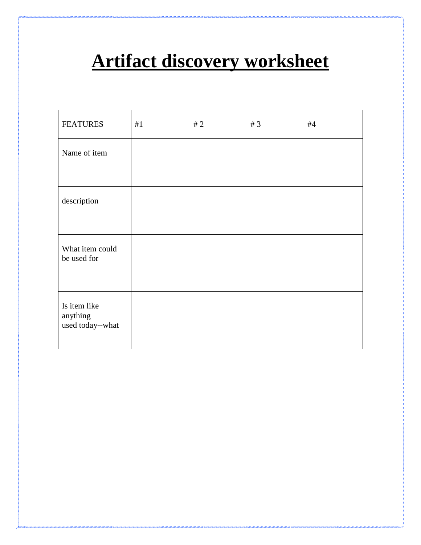# **Artifact discovery worksheet**

| <b>FEATURES</b>                              | #1 | #2 | # $3$ | #4 |
|----------------------------------------------|----|----|-------|----|
| Name of item                                 |    |    |       |    |
|                                              |    |    |       |    |
| description                                  |    |    |       |    |
|                                              |    |    |       |    |
| What item could<br>be used for               |    |    |       |    |
| Is item like<br>anything<br>used today--what |    |    |       |    |